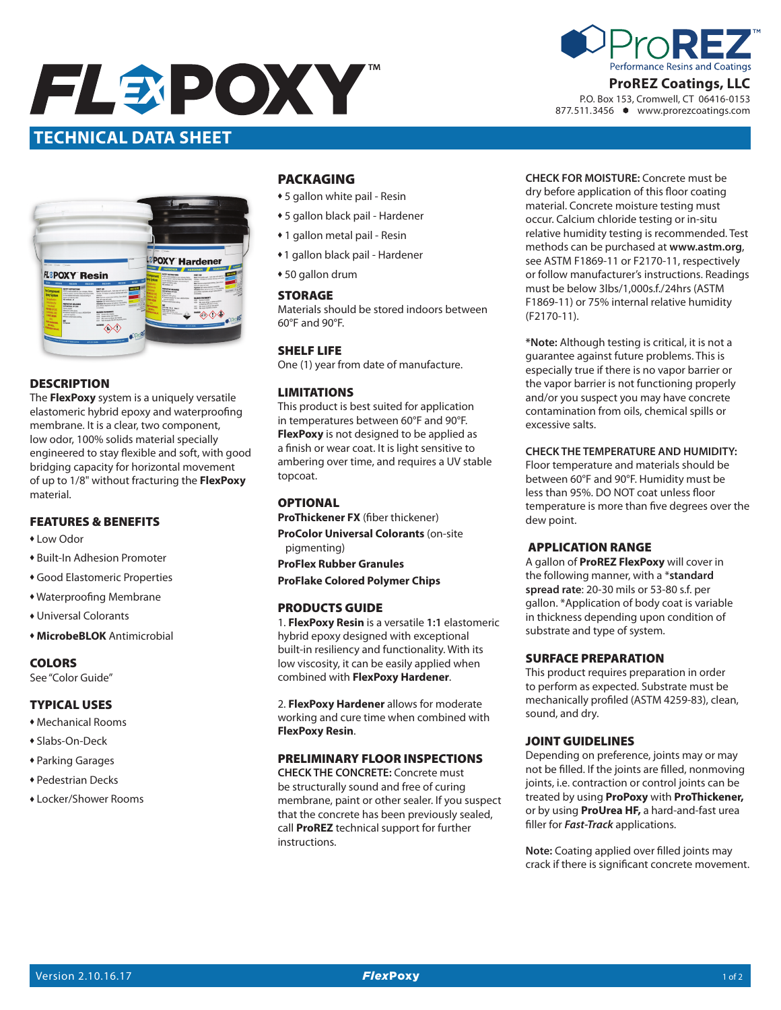



# **ProREZ Coatings, LLC**

P.O. Box 153, Cromwell, CT 06416-0153 877.511.3456 www.prorezcoatings.com



# **DESCRIPTION**

The **FlexPoxy** system is a uniquely versatile elastomeric hybrid epoxy and waterproofing membrane. It is a clear, two component, low odor, 100% solids material specially engineered to stay flexible and soft, with good bridging capacity for horizontal movement of up to 1/8" without fracturing the **FlexPoxy** material.

# FEATURES & BENEFITS

- Low Odor
- ◆ Built-In Adhesion Promoter
- **Good Elastomeric Properties**
- Waterproofing Membrane
- Universal Colorants
- **\* MicrobeBLOK** Antimicrobial

### COLORS

See "Color Guide"

### TYPICAL USES

- $*$  Mechanical Rooms
- Slabs-On-Deck
- **\* Parking Garages**
- Pedestrian Decks
- \* Locker/Shower Rooms

# PACKAGING

- 5 gallon white pail Resin
- \* 5 gallon black pail Hardener
- 1 gallon metal pail Resin
- \* 1 gallon black pail Hardener
- $*$  50 gallon drum

### **STORAGE**

Materials should be stored indoors between 60°F and 90°F.

### SHELF LIFE

One (1) year from date of manufacture.

### LIMITATIONS

This product is best suited for application in temperatures between 60°F and 90°F. **FlexPoxy** is not designed to be applied as a finish or wear coat. It is light sensitive to ambering over time, and requires a UV stable topcoat.

# **OPTIONAL**

**ProThickener FX** (fiber thickener) **ProColor Universal Colorants** (on-site pigmenting) **ProFlex Rubber Granules**

# **ProFlake Colored Polymer Chips**

### PRODUCTS GUIDE

1. **FlexPoxy Resin** is a versatile **1:1** elastomeric hybrid epoxy designed with exceptional built-in resiliency and functionality. With its low viscosity, it can be easily applied when combined with **FlexPoxy Hardener**.

2. **FlexPoxy Hardener** allows for moderate working and cure time when combined with **FlexPoxy Resin**.

### PRELIMINARY FLOOR INSPECTIONS

**CHECK THE CONCRETE:** Concrete must be structurally sound and free of curing membrane, paint or other sealer. If you suspect that the concrete has been previously sealed, call **ProREZ** technical support for further instructions.

**CHECK FOR MOISTURE:** Concrete must be dry before application of this floor coating material. Concrete moisture testing must occur. Calcium chloride testing or in-situ relative humidity testing is recommended. Test methods can be purchased at **www.astm.org**, see ASTM F1869-11 or F2170-11, respectively or follow manufacturer's instructions. Readings must be below 3lbs/1,000s.f./24hrs (ASTM F1869-11) or 75% internal relative humidity (F2170-11).

**\*Note:** Although testing is critical, it is not a guarantee against future problems. This is especially true if there is no vapor barrier or the vapor barrier is not functioning properly and/or you suspect you may have concrete contamination from oils, chemical spills or excessive salts.

#### **CHECK THE TEMPERATURE AND HUMIDITY:**

Floor temperature and materials should be between 60°F and 90°F. Humidity must be less than 95%. DO NOT coat unless floor temperature is more than five degrees over the dew point.

### APPLICATION RANGE

A gallon of **ProREZ FlexPoxy** will cover in the following manner, with a \***standard spread rate**: 20-30 mils or 53-80 s.f. per gallon. \*Application of body coat is variable in thickness depending upon condition of substrate and type of system.

#### SURFACE PREPARATION

This product requires preparation in order to perform as expected. Substrate must be mechanically profiled (ASTM 4259-83), clean, sound, and dry.

### JOINT GUIDELINES

Depending on preference, joints may or may not be filled. If the joints are filled, nonmoving joints, i.e. contraction or control joints can be treated by using **ProPoxy** with **ProThickener,** or by using **ProUrea HF,** a hard-and-fast urea filler for *Fast-Track* applications.

**Note:** Coating applied over filled joints may crack if there is significant concrete movement.